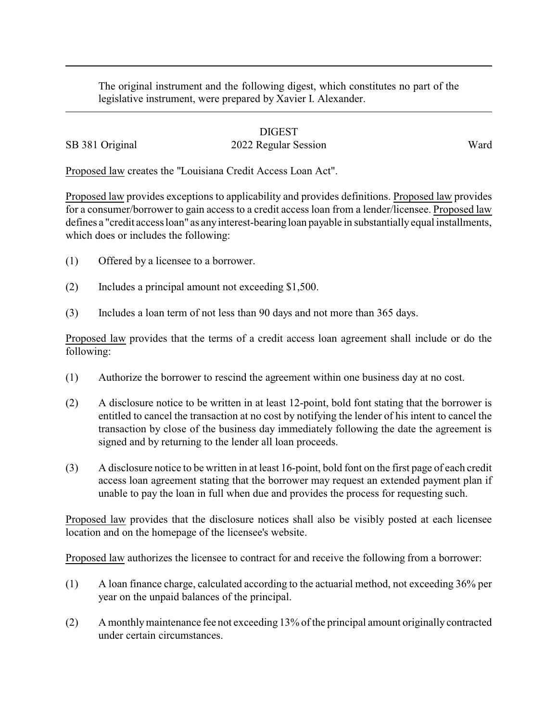The original instrument and the following digest, which constitutes no part of the legislative instrument, were prepared by Xavier I. Alexander.

## DIGEST SB 381 Original 2022 Regular Session Ward

Proposed law creates the "Louisiana Credit Access Loan Act".

Proposed law provides exceptions to applicability and provides definitions. Proposed law provides for a consumer/borrower to gain access to a credit access loan from a lender/licensee. Proposed law defines a "credit access loan" as any interest-bearing loan payable in substantially equal installments, which does or includes the following:

- (1) Offered by a licensee to a borrower.
- (2) Includes a principal amount not exceeding \$1,500.
- (3) Includes a loan term of not less than 90 days and not more than 365 days.

Proposed law provides that the terms of a credit access loan agreement shall include or do the following:

- (1) Authorize the borrower to rescind the agreement within one business day at no cost.
- (2) A disclosure notice to be written in at least 12-point, bold font stating that the borrower is entitled to cancel the transaction at no cost by notifying the lender of his intent to cancel the transaction by close of the business day immediately following the date the agreement is signed and by returning to the lender all loan proceeds.
- (3) A disclosure notice to be written in at least 16-point, bold font on the first page of each credit access loan agreement stating that the borrower may request an extended payment plan if unable to pay the loan in full when due and provides the process for requesting such.

Proposed law provides that the disclosure notices shall also be visibly posted at each licensee location and on the homepage of the licensee's website.

Proposed law authorizes the licensee to contract for and receive the following from a borrower:

- (1) A loan finance charge, calculated according to the actuarial method, not exceeding 36% per year on the unpaid balances of the principal.
- (2) A monthlymaintenance fee not exceeding 13% of the principal amount originally contracted under certain circumstances.